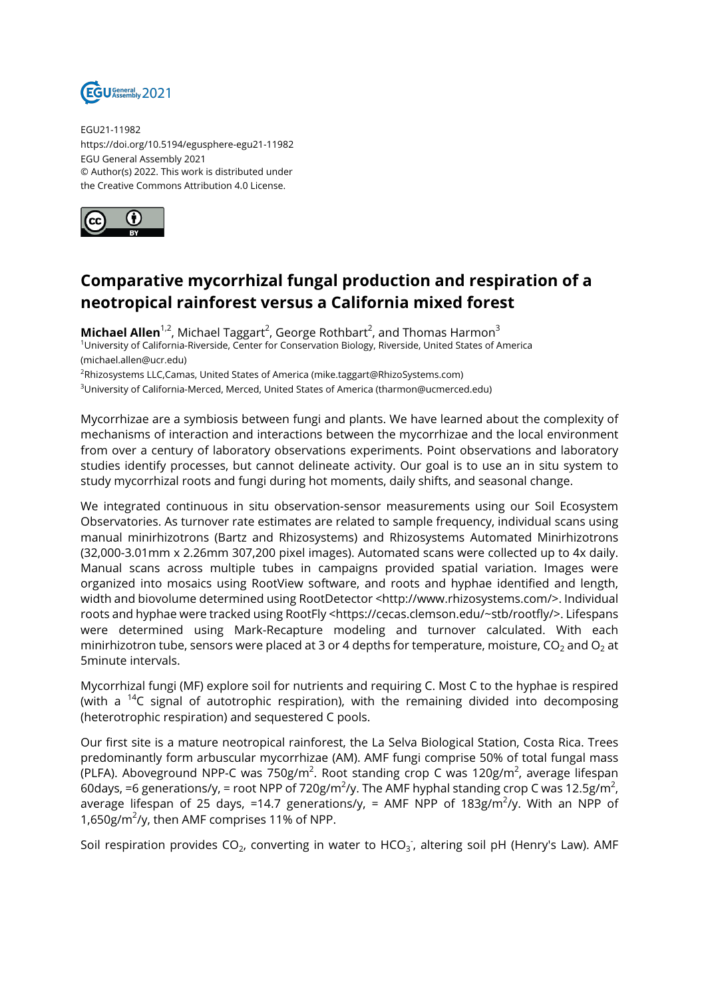

EGU21-11982 https://doi.org/10.5194/egusphere-egu21-11982 EGU General Assembly 2021 © Author(s) 2022. This work is distributed under the Creative Commons Attribution 4.0 License.



## **Comparative mycorrhizal fungal production and respiration of a neotropical rainforest versus a California mixed forest**

**Michael Allen**<sup>1,2</sup>, Michael Taggart<sup>2</sup>, George Rothbart<sup>2</sup>, and Thomas Harmon<sup>3</sup> <sup>1</sup>University of California-Riverside, Center for Conservation Biology, Riverside, United States of America (michael.allen@ucr.edu)

<sup>2</sup>Rhizosystems LLC,Camas, United States of America (mike.taggart@RhizoSystems.com)

<sup>3</sup>University of California-Merced, Merced, United States of America (tharmon@ucmerced.edu)

Mycorrhizae are a symbiosis between fungi and plants. We have learned about the complexity of mechanisms of interaction and interactions between the mycorrhizae and the local environment from over a century of laboratory observations experiments. Point observations and laboratory studies identify processes, but cannot delineate activity. Our goal is to use an in situ system to study mycorrhizal roots and fungi during hot moments, daily shifts, and seasonal change.

We integrated continuous in situ observation-sensor measurements using our Soil Ecosystem Observatories. As turnover rate estimates are related to sample frequency, individual scans using manual minirhizotrons (Bartz and Rhizosystems) and Rhizosystems Automated Minirhizotrons (32,000-3.01mm x 2.26mm 307,200 pixel images). Automated scans were collected up to 4x daily. Manual scans across multiple tubes in campaigns provided spatial variation. Images were organized into mosaics using RootView software, and roots and hyphae identified and length, width and biovolume determined using RootDetector <http://www.rhizosystems.com/>. Individual roots and hyphae were tracked using RootFly <https://cecas.clemson.edu/~stb/rootfly/>. Lifespans were determined using Mark-Recapture modeling and turnover calculated. With each minirhizotron tube, sensors were placed at 3 or 4 depths for temperature, moisture, CO<sub>2</sub> and O<sub>2</sub> at 5minute intervals.

Mycorrhizal fungi (MF) explore soil for nutrients and requiring C. Most C to the hyphae is respired (with a <sup>14</sup>C signal of autotrophic respiration), with the remaining divided into decomposing (heterotrophic respiration) and sequestered C pools.

Our first site is a mature neotropical rainforest, the La Selva Biological Station, Costa Rica. Trees predominantly form arbuscular mycorrhizae (AM). AMF fungi comprise 50% of total fungal mass (PLFA). Aboveground NPP-C was 750g/m $^2$ . Root standing crop C was 120g/m $^2$ , average lifespan 60days, =6 generations/y, = root NPP of 720g/m $^2$ /y. The AMF hyphal standing crop C was 12.5g/m $^2$ , average lifespan of 25 days, =14.7 generations/y, = AMF NPP of 183g/m $^2$ /y. With an NPP of 1,650g/m<sup>2</sup>/y, then AMF comprises 11% of NPP.

Soil respiration provides CO<sub>2</sub>, converting in water to HCO<sub>3</sub>, altering soil pH (Henry's Law). AMF